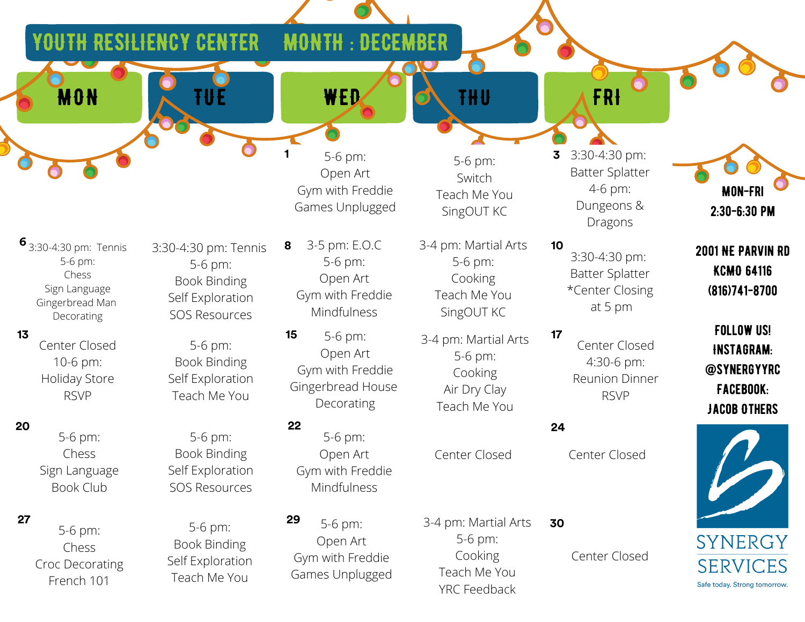